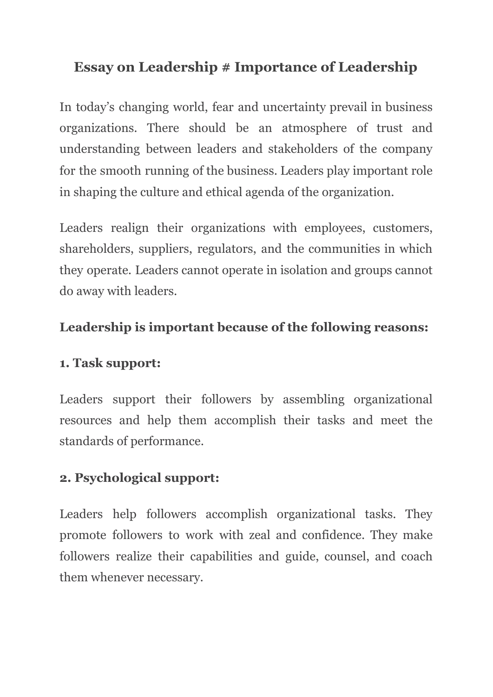# **Essay on Leadership # Importance of Leadership**

In today's changing world, fear and uncertainty prevail in business organizations. There should be an atmosphere of trust and understanding between leaders and stakeholders of the company for the smooth running of the business. Leaders play important role in shaping the culture and ethical agenda of the organization.

Leaders realign their organizations with employees, customers, shareholders, suppliers, regulators, and the communities in which they operate. Leaders cannot operate in isolation and groups cannot do away with leaders.

## **Leadership is important because of the following reasons:**

### **1. Task support:**

Leaders support their followers by assembling organizational resources and help them accomplish their tasks and meet the standards of performance.

# **2. Psychological support:**

Leaders help followers accomplish organizational tasks. They promote followers to work with zeal and confidence. They make followers realize their capabilities and guide, counsel, and coach them whenever necessary.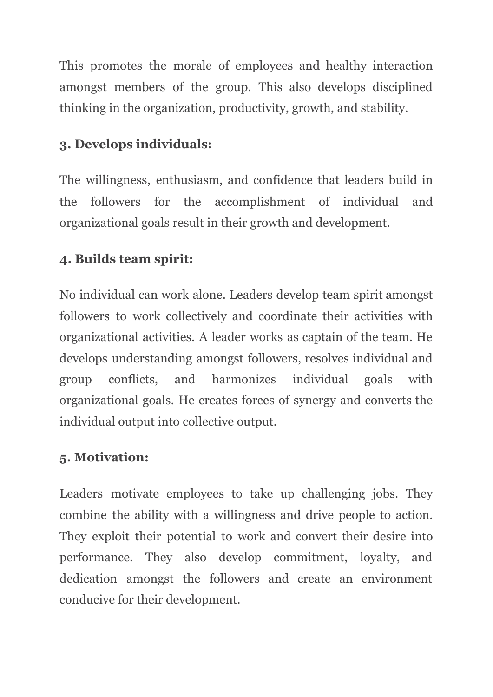This promotes the morale of employees and healthy interaction amongst members of the group. This also develops disciplined thinking in the organization, productivity, growth, and stability.

#### **3. Develops individuals:**

The willingness, enthusiasm, and confidence that leaders build in the followers for the accomplishment of individual and organizational goals result in their growth and development.

#### **4. Builds team spirit:**

No individual can work alone. Leaders develop team spirit amongst followers to work collectively and coordinate their activities with organizational activities. A leader works as captain of the team. He develops understanding amongst followers, resolves individual and group conflicts, and harmonizes individual goals with organizational goals. He creates forces of synergy and converts the individual output into collective output.

#### **5. Motivation:**

Leaders motivate employees to take up challenging jobs. They combine the ability with a willingness and drive people to action. They exploit their potential to work and convert their desire into performance. They also develop commitment, loyalty, and dedication amongst the followers and create an environment conducive for their development.